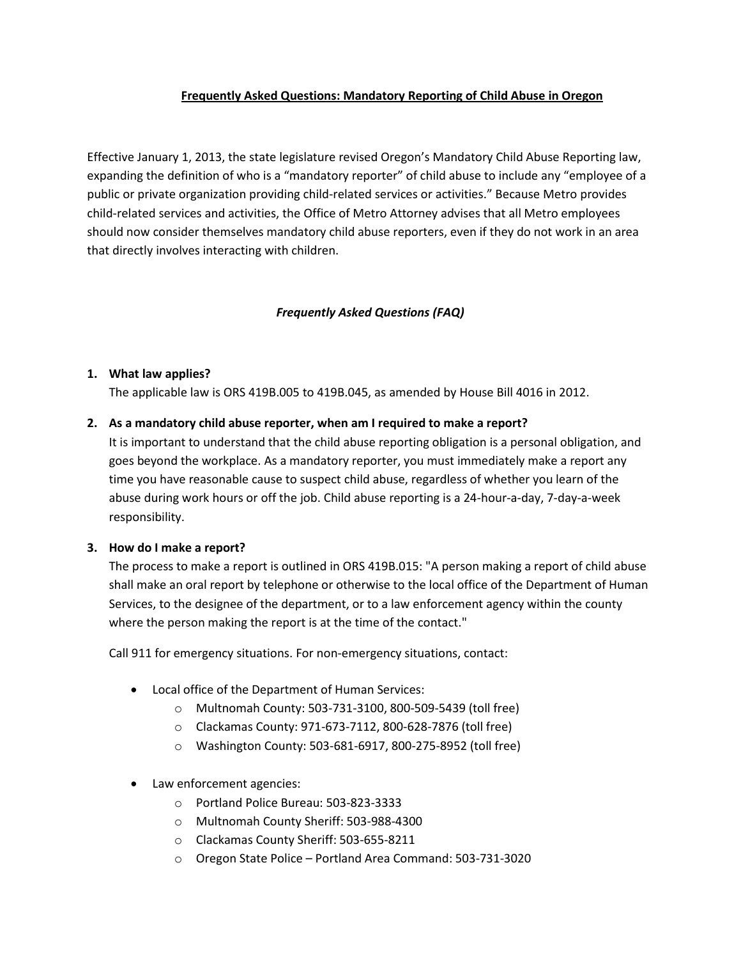## **Frequently Asked Questions: Mandatory Reporting of Child Abuse in Oregon**

Effective January 1, 2013, the state legislature revised Oregon's Mandatory Child Abuse Reporting law, expanding the definition of who is a "mandatory reporter" of child abuse to include any "employee of a public or private organization providing child-related services or activities." Because Metro provides child-related services and activities, the Office of Metro Attorney advises that all Metro employees should now consider themselves mandatory child abuse reporters, even if they do not work in an area that directly involves interacting with children.

## *Frequently Asked Questions (FAQ)*

### **1. What law applies?**

The applicable law is ORS 419B.005 to 419B.045, as amended by House Bill 4016 in 2012.

#### **2. As a mandatory child abuse reporter, when am I required to make a report?**

It is important to understand that the child abuse reporting obligation is a personal obligation, and goes beyond the workplace. As a mandatory reporter, you must immediately make a report any time you have reasonable cause to suspect child abuse, regardless of whether you learn of the abuse during work hours or off the job. Child abuse reporting is a 24-hour-a-day, 7-day-a-week responsibility.

### **3. How do I make a report?**

The process to make a report is outlined in ORS 419B.015: "A person making a report of child abuse shall make an oral report by telephone or otherwise to the local office of the Department of Human Services, to the designee of the department, or to a law enforcement agency within the county where the person making the report is at the time of the contact."

Call 911 for emergency situations. For non-emergency situations, contact:

- Local office of the Department of Human Services:
	- o Multnomah County: 503-731-3100, 800-509-5439 (toll free)
	- o Clackamas County: 971-673-7112, 800-628-7876 (toll free)
	- o Washington County: 503-681-6917, 800-275-8952 (toll free)
- Law enforcement agencies:
	- o Portland Police Bureau: 503-823-3333
	- o Multnomah County Sheriff: 503-988-4300
	- o Clackamas County Sheriff: 503-655-8211
	- o Oregon State Police Portland Area Command: 503-731-3020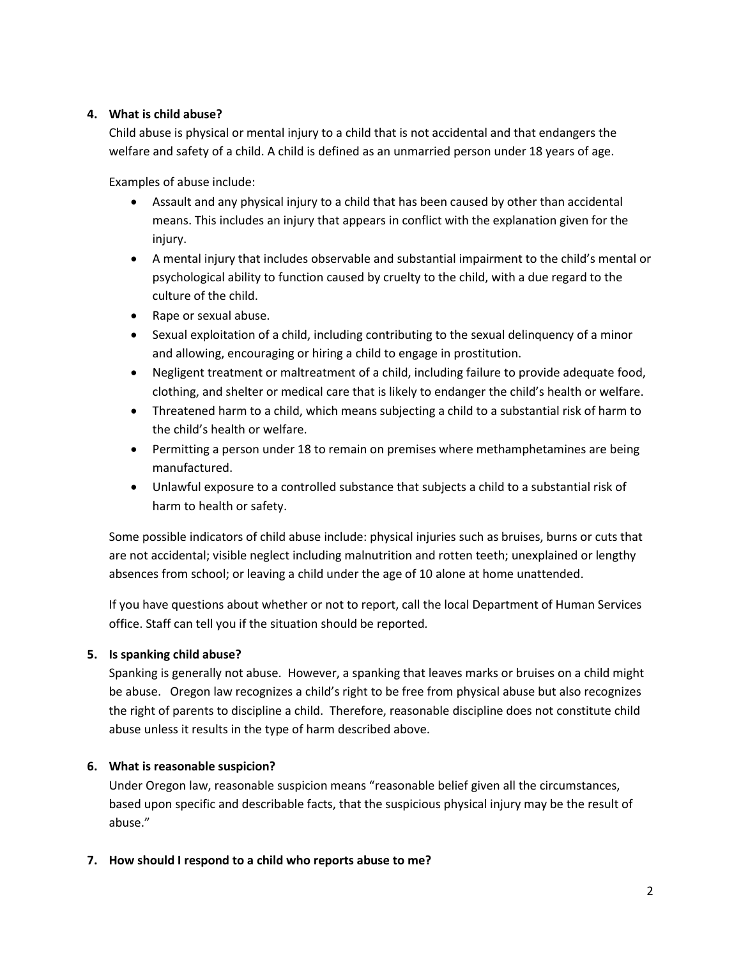## **4. What is child abuse?**

Child abuse is physical or mental injury to a child that is not accidental and that endangers the welfare and safety of a child. A child is defined as an unmarried person under 18 years of age.

Examples of abuse include:

- Assault and any physical injury to a child that has been caused by other than accidental means. This includes an injury that appears in conflict with the explanation given for the injury.
- A mental injury that includes observable and substantial impairment to the child's mental or psychological ability to function caused by cruelty to the child, with a due regard to the culture of the child.
- Rape or sexual abuse.
- Sexual exploitation of a child, including contributing to the sexual delinquency of a minor and allowing, encouraging or hiring a child to engage in prostitution.
- Negligent treatment or maltreatment of a child, including failure to provide adequate food, clothing, and shelter or medical care that is likely to endanger the child's health or welfare.
- Threatened harm to a child, which means subjecting a child to a substantial risk of harm to the child's health or welfare.
- Permitting a person under 18 to remain on premises where methamphetamines are being manufactured.
- Unlawful exposure to a controlled substance that subjects a child to a substantial risk of harm to health or safety.

Some possible indicators of child abuse include: physical injuries such as bruises, burns or cuts that are not accidental; visible neglect including malnutrition and rotten teeth; unexplained or lengthy absences from school; or leaving a child under the age of 10 alone at home unattended.

If you have questions about whether or not to report, call the local Department of Human Services office. Staff can tell you if the situation should be reported*.* 

## **5. Is spanking child abuse?**

Spanking is generally not abuse. However, a spanking that leaves marks or bruises on a child might be abuse. Oregon law recognizes a child's right to be free from physical abuse but also recognizes the right of parents to discipline a child. Therefore, reasonable discipline does not constitute child abuse unless it results in the type of harm described above.

## **6. What is reasonable suspicion?**

Under Oregon law, reasonable suspicion means "reasonable belief given all the circumstances, based upon specific and describable facts, that the suspicious physical injury may be the result of abuse."

### **7. How should I respond to a child who reports abuse to me?**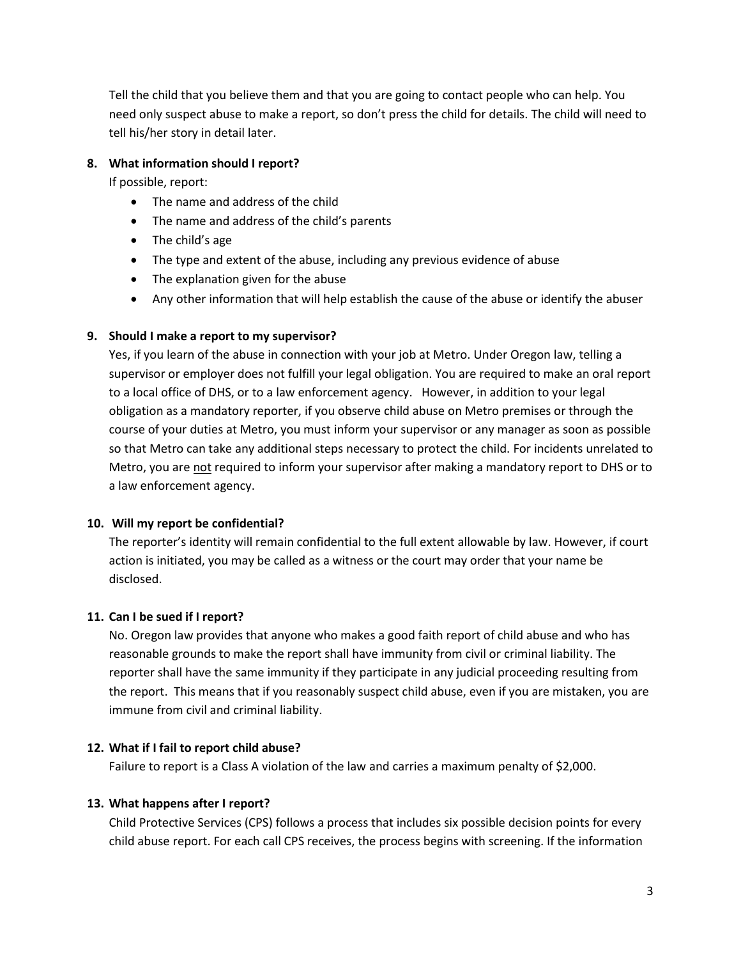Tell the child that you believe them and that you are going to contact people who can help. You need only suspect abuse to make a report, so don't press the child for details. The child will need to tell his/her story in detail later.

## **8. What information should I report?**

If possible, report:

- The name and address of the child
- The name and address of the child's parents
- The child's age
- The type and extent of the abuse, including any previous evidence of abuse
- The explanation given for the abuse
- Any other information that will help establish the cause of the abuse or identify the abuser

### **9. Should I make a report to my supervisor?**

Yes, if you learn of the abuse in connection with your job at Metro. Under Oregon law, telling a supervisor or employer does not fulfill your legal obligation. You are required to make an oral report to a local office of DHS, or to a law enforcement agency. However, in addition to your legal obligation as a mandatory reporter, if you observe child abuse on Metro premises or through the course of your duties at Metro, you must inform your supervisor or any manager as soon as possible so that Metro can take any additional steps necessary to protect the child. For incidents unrelated to Metro, you are not required to inform your supervisor after making a mandatory report to DHS or to a law enforcement agency.

### **10. Will my report be confidential?**

The reporter's identity will remain confidential to the full extent allowable by law. However, if court action is initiated, you may be called as a witness or the court may order that your name be disclosed.

## **11. Can I be sued if I report?**

No. Oregon law provides that anyone who makes a good faith report of child abuse and who has reasonable grounds to make the report shall have immunity from civil or criminal liability. The reporter shall have the same immunity if they participate in any judicial proceeding resulting from the report. This means that if you reasonably suspect child abuse, even if you are mistaken, you are immune from civil and criminal liability.

### **12. What if I fail to report child abuse?**

Failure to report is a Class A violation of the law and carries a maximum penalty of \$2,000.

### **13. What happens after I report?**

Child Protective Services (CPS) follows a process that includes six possible decision points for every child abuse report. For each call CPS receives, the process begins with screening. If the information